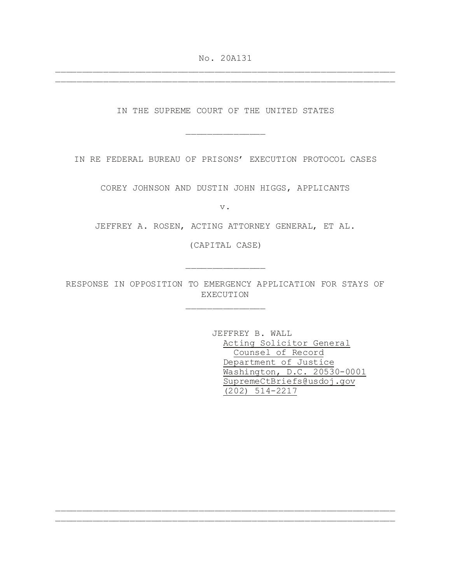No. 20A131 \_\_\_\_\_\_\_\_\_\_\_\_\_\_\_\_\_\_\_\_\_\_\_\_\_\_\_\_\_\_\_\_\_\_\_\_\_\_\_\_\_\_\_\_\_\_\_\_\_\_\_\_\_\_\_\_\_\_\_\_\_\_\_\_

\_\_\_\_\_\_\_\_\_\_\_\_\_\_\_\_\_\_\_\_\_\_\_\_\_\_\_\_\_\_\_\_\_\_\_\_\_\_\_\_\_\_\_\_\_\_\_\_\_\_\_\_\_\_\_\_\_\_\_\_\_\_\_\_

IN THE SUPREME COURT OF THE UNITED STATES

\_\_\_\_\_\_\_\_\_\_\_\_\_\_\_

IN RE FEDERAL BUREAU OF PRISONS' EXECUTION PROTOCOL CASES

COREY JOHNSON AND DUSTIN JOHN HIGGS, APPLICANTS

v.

JEFFREY A. ROSEN, ACTING ATTORNEY GENERAL, ET AL.

(CAPITAL CASE)

\_\_\_\_\_\_\_\_\_\_\_\_\_\_\_

\_\_\_\_\_\_\_\_\_\_\_\_\_\_\_

RESPONSE IN OPPOSITION TO EMERGENCY APPLICATION FOR STAYS OF EXECUTION

\_\_\_\_\_\_\_\_\_\_\_\_\_\_\_\_\_\_\_\_\_\_\_\_\_\_\_\_\_\_\_\_\_\_\_\_\_\_\_\_\_\_\_\_\_\_\_\_\_\_\_\_\_\_\_\_\_\_\_\_\_\_\_\_ \_\_\_\_\_\_\_\_\_\_\_\_\_\_\_\_\_\_\_\_\_\_\_\_\_\_\_\_\_\_\_\_\_\_\_\_\_\_\_\_\_\_\_\_\_\_\_\_\_\_\_\_\_\_\_\_\_\_\_\_\_\_\_\_

JEFFREY B. WALL Acting Solicitor General Counsel of Record Department of Justice Washington, D.C. 20530-0001 SupremeCtBriefs@usdoj.gov (202) 514-2217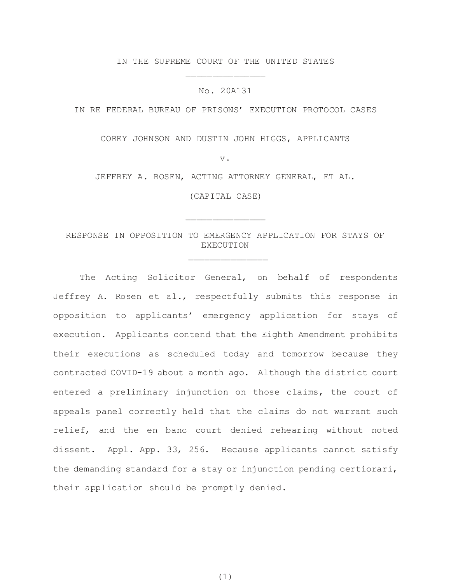IN THE SUPREME COURT OF THE UNITED STATES \_\_\_\_\_\_\_\_\_\_\_\_\_\_\_

No. 20A131

IN RE FEDERAL BUREAU OF PRISONS' EXECUTION PROTOCOL CASES

COREY JOHNSON AND DUSTIN JOHN HIGGS, APPLICANTS

v.

JEFFREY A. ROSEN, ACTING ATTORNEY GENERAL, ET AL.

(CAPITAL CASE)

\_\_\_\_\_\_\_\_\_\_\_\_\_\_\_

# RESPONSE IN OPPOSITION TO EMERGENCY APPLICATION FOR STAYS OF EXECUTION

\_\_\_\_\_\_\_\_\_\_\_\_\_\_\_

The Acting Solicitor General, on behalf of respondents Jeffrey A. Rosen et al., respectfully submits this response in opposition to applicants' emergency application for stays of execution. Applicants contend that the Eighth Amendment prohibits their executions as scheduled today and tomorrow because they contracted COVID-19 about a month ago. Although the district court entered a preliminary injunction on those claims, the court of appeals panel correctly held that the claims do not warrant such relief, and the en banc court denied rehearing without noted dissent. Appl. App. 33, 256. Because applicants cannot satisfy the demanding standard for a stay or injunction pending certiorari, their application should be promptly denied.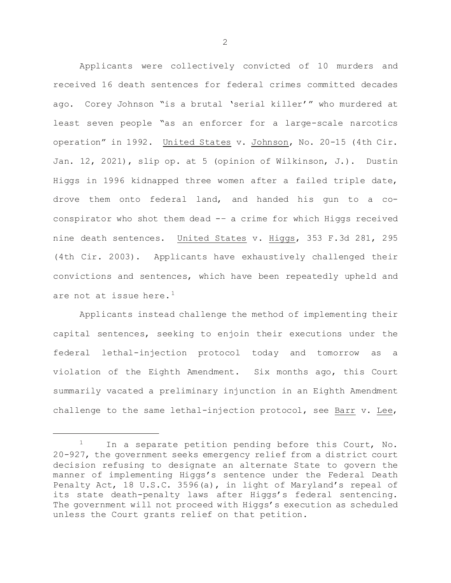Applicants were collectively convicted of 10 murders and received 16 death sentences for federal crimes committed decades ago. Corey Johnson "is a brutal 'serial killer'" who murdered at least seven people "as an enforcer for a large-scale narcotics operation" in 1992. United States v. Johnson, No. 20-15 (4th Cir. Jan. 12, 2021), slip op. at 5 (opinion of Wilkinson, J.). Dustin Higgs in 1996 kidnapped three women after a failed triple date, drove them onto federal land, and handed his gun to a coconspirator who shot them dead -– a crime for which Higgs received nine death sentences. United States v. Higgs, 353 F.3d 281, 295 (4th Cir. 2003). Applicants have exhaustively challenged their convictions and sentences, which have been repeatedly upheld and are not at issue here.<sup>[1](#page-2-0)</sup>

Applicants instead challenge the method of implementing their capital sentences, seeking to enjoin their executions under the federal lethal-injection protocol today and tomorrow as a violation of the Eighth Amendment. Six months ago, this Court summarily vacated a preliminary injunction in an Eighth Amendment challenge to the same lethal-injection protocol, see Barr v. Lee,

ī

<span id="page-2-0"></span> $1$  In a separate petition pending before this Court, No. 20-927, the government seeks emergency relief from a district court decision refusing to designate an alternate State to govern the manner of implementing Higgs's sentence under the Federal Death Penalty Act, 18 U.S.C. 3596(a), in light of Maryland's repeal of its state death-penalty laws after Higgs's federal sentencing. The government will not proceed with Higgs's execution as scheduled unless the Court grants relief on that petition.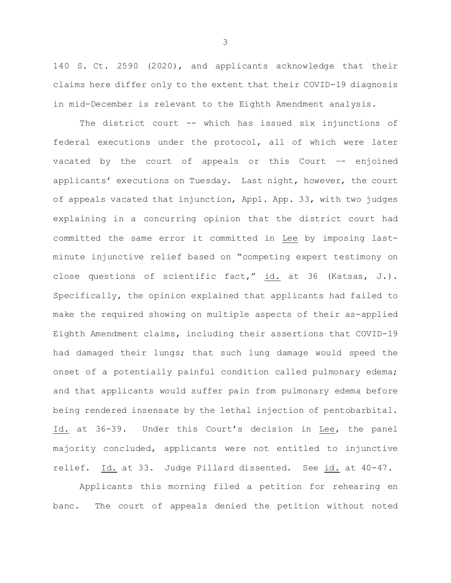140 S. Ct. 2590 (2020), and applicants acknowledge that their claims here differ only to the extent that their COVID-19 diagnosis in mid-December is relevant to the Eighth Amendment analysis.

The district court -- which has issued six injunctions of federal executions under the protocol, all of which were later vacated by the court of appeals or this Court –- enjoined applicants' executions on Tuesday. Last night, however, the court of appeals vacated that injunction, Appl. App. 33, with two judges explaining in a concurring opinion that the district court had committed the same error it committed in Lee by imposing lastminute injunctive relief based on "competing expert testimony on close questions of scientific fact," id. at 36 (Katsas, J.). Specifically, the opinion explained that applicants had failed to make the required showing on multiple aspects of their as-applied Eighth Amendment claims, including their assertions that COVID-19 had damaged their lungs; that such lung damage would speed the onset of a potentially painful condition called pulmonary edema; and that applicants would suffer pain from pulmonary edema before being rendered insensate by the lethal injection of pentobarbital. Id. at 36-39. Under this Court's decision in Lee, the panel majority concluded, applicants were not entitled to injunctive relief. Id. at 33. Judge Pillard dissented. See id. at 40-47.

Applicants this morning filed a petition for rehearing en banc. The court of appeals denied the petition without noted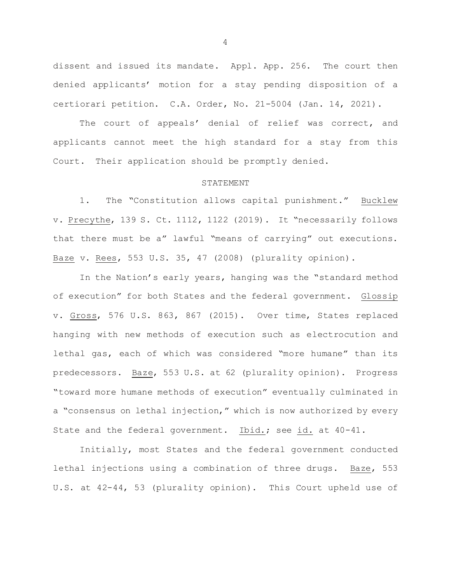dissent and issued its mandate. Appl. App. 256. The court then denied applicants' motion for a stay pending disposition of a certiorari petition. C.A. Order, No. 21-5004 (Jan. 14, 2021).

The court of appeals' denial of relief was correct, and applicants cannot meet the high standard for a stay from this Court. Their application should be promptly denied.

### STATEMENT

1. The "Constitution allows capital punishment." Bucklew v. Precythe, 139 S. Ct. 1112, 1122 (2019). It "necessarily follows that there must be a" lawful "means of carrying" out executions. Baze v. Rees, 553 U.S. 35, 47 (2008) (plurality opinion).

In the Nation's early years, hanging was the "standard method of execution" for both States and the federal government. Glossip v. Gross, 576 U.S. 863, 867 (2015). Over time, States replaced hanging with new methods of execution such as electrocution and lethal gas, each of which was considered "more humane" than its predecessors. Baze, 553 U.S. at 62 (plurality opinion). Progress "toward more humane methods of execution" eventually culminated in a "consensus on lethal injection," which is now authorized by every State and the federal government. Ibid.; see id. at 40-41.

Initially, most States and the federal government conducted lethal injections using a combination of three drugs. Baze, 553 U.S. at 42-44, 53 (plurality opinion). This Court upheld use of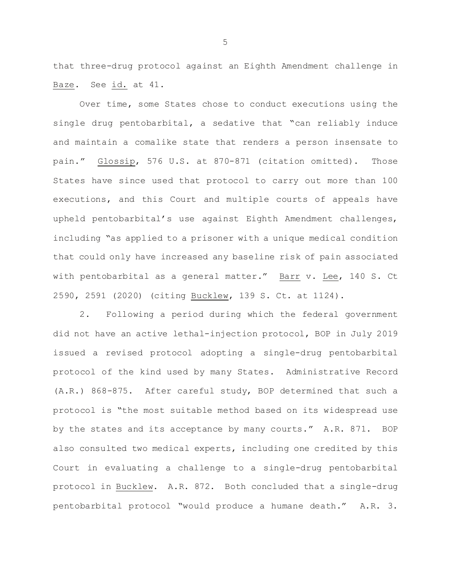that three-drug protocol against an Eighth Amendment challenge in Baze. See id. at 41.

Over time, some States chose to conduct executions using the single drug pentobarbital, a sedative that "can reliably induce and maintain a comalike state that renders a person insensate to pain." Glossip, 576 U.S. at 870-871 (citation omitted). Those States have since used that protocol to carry out more than 100 executions, and this Court and multiple courts of appeals have upheld pentobarbital's use against Eighth Amendment challenges, including "as applied to a prisoner with a unique medical condition that could only have increased any baseline risk of pain associated with pentobarbital as a general matter." Barr v. Lee, 140 S. Ct 2590, 2591 (2020) (citing Bucklew, 139 S. Ct. at 1124).

2. Following a period during which the federal government did not have an active lethal-injection protocol, BOP in July 2019 issued a revised protocol adopting a single-drug pentobarbital protocol of the kind used by many States. Administrative Record (A.R.) 868-875. After careful study, BOP determined that such a protocol is "the most suitable method based on its widespread use by the states and its acceptance by many courts." A.R. 871. BOP also consulted two medical experts, including one credited by this Court in evaluating a challenge to a single-drug pentobarbital protocol in Bucklew. A.R. 872. Both concluded that a single-drug pentobarbital protocol "would produce a humane death." A.R. 3.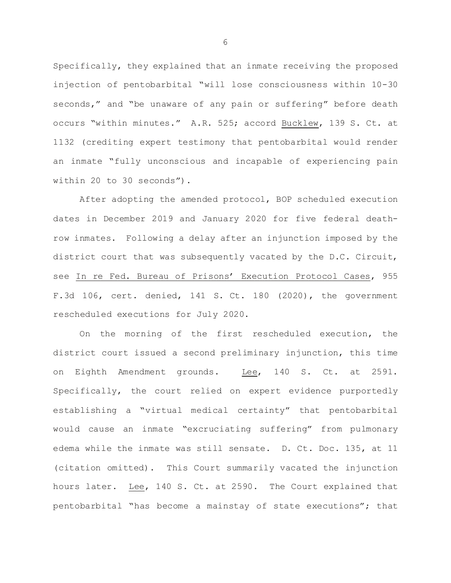Specifically, they explained that an inmate receiving the proposed injection of pentobarbital "will lose consciousness within 10-30 seconds," and "be unaware of any pain or suffering" before death occurs "within minutes." A.R. 525; accord Bucklew, 139 S. Ct. at 1132 (crediting expert testimony that pentobarbital would render an inmate "fully unconscious and incapable of experiencing pain within 20 to 30 seconds").

After adopting the amended protocol, BOP scheduled execution dates in December 2019 and January 2020 for five federal deathrow inmates. Following a delay after an injunction imposed by the district court that was subsequently vacated by the D.C. Circuit, see In re Fed. Bureau of Prisons' Execution Protocol Cases, 955 F.3d 106, cert. denied, 141 S. Ct. 180 (2020), the government rescheduled executions for July 2020.

On the morning of the first rescheduled execution, the district court issued a second preliminary injunction, this time on Eighth Amendment grounds. Lee, 140 S. Ct. at 2591. Specifically, the court relied on expert evidence purportedly establishing a "virtual medical certainty" that pentobarbital would cause an inmate "excruciating suffering" from pulmonary edema while the inmate was still sensate. D. Ct. Doc. 135, at 11 (citation omitted). This Court summarily vacated the injunction hours later. Lee, 140 S. Ct. at 2590. The Court explained that pentobarbital "has become a mainstay of state executions"; that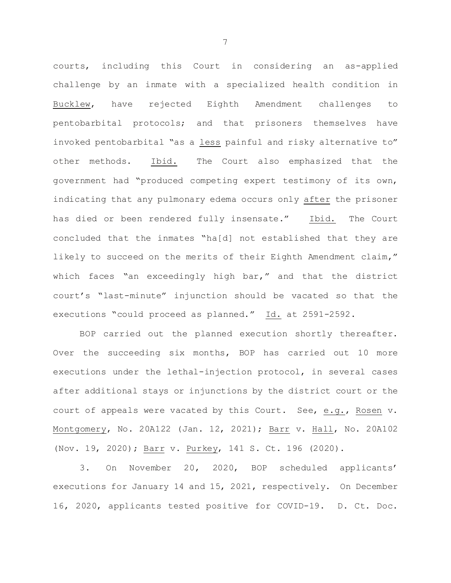courts, including this Court in considering an as-applied challenge by an inmate with a specialized health condition in Bucklew, have rejected Eighth Amendment challenges to pentobarbital protocols; and that prisoners themselves have invoked pentobarbital "as a less painful and risky alternative to" other methods. Ibid. The Court also emphasized that the government had "produced competing expert testimony of its own, indicating that any pulmonary edema occurs only after the prisoner has died or been rendered fully insensate." Ibid. The Court concluded that the inmates "ha[d] not established that they are likely to succeed on the merits of their Eighth Amendment claim," which faces "an exceedingly high bar," and that the district court's "last-minute" injunction should be vacated so that the executions "could proceed as planned." Id. at 2591-2592.

BOP carried out the planned execution shortly thereafter. Over the succeeding six months, BOP has carried out 10 more executions under the lethal-injection protocol, in several cases after additional stays or injunctions by the district court or the court of appeals were vacated by this Court. See, e.g., Rosen v. Montgomery, No. 20A122 (Jan. 12, 2021); Barr v. Hall, No. 20A102 (Nov. 19, 2020); Barr v. Purkey, 141 S. Ct. 196 (2020).

3. On November 20, 2020, BOP scheduled applicants' executions for January 14 and 15, 2021, respectively. On December 16, 2020, applicants tested positive for COVID-19. D. Ct. Doc.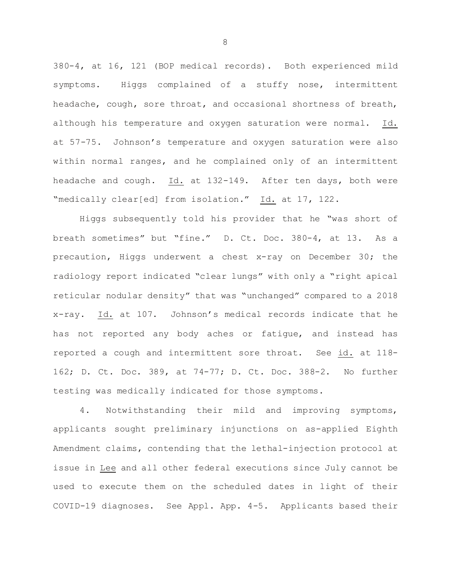380-4, at 16, 121 (BOP medical records). Both experienced mild symptoms. Higgs complained of a stuffy nose, intermittent headache, cough, sore throat, and occasional shortness of breath, although his temperature and oxygen saturation were normal. Id. at 57-75. Johnson's temperature and oxygen saturation were also within normal ranges, and he complained only of an intermittent headache and cough. Id. at 132-149. After ten days, both were "medically clear[ed] from isolation." Id. at 17, 122.

Higgs subsequently told his provider that he "was short of breath sometimes" but "fine." D. Ct. Doc. 380-4, at 13. As a precaution, Higgs underwent a chest x-ray on December 30; the radiology report indicated "clear lungs" with only a "right apical reticular nodular density" that was "unchanged" compared to a 2018 x-ray. Id. at 107. Johnson's medical records indicate that he has not reported any body aches or fatigue, and instead has reported a cough and intermittent sore throat. See id. at 118- 162; D. Ct. Doc. 389, at 74-77; D. Ct. Doc. 388-2. No further testing was medically indicated for those symptoms.

4. Notwithstanding their mild and improving symptoms, applicants sought preliminary injunctions on as-applied Eighth Amendment claims, contending that the lethal-injection protocol at issue in Lee and all other federal executions since July cannot be used to execute them on the scheduled dates in light of their COVID-19 diagnoses. See Appl. App. 4-5. Applicants based their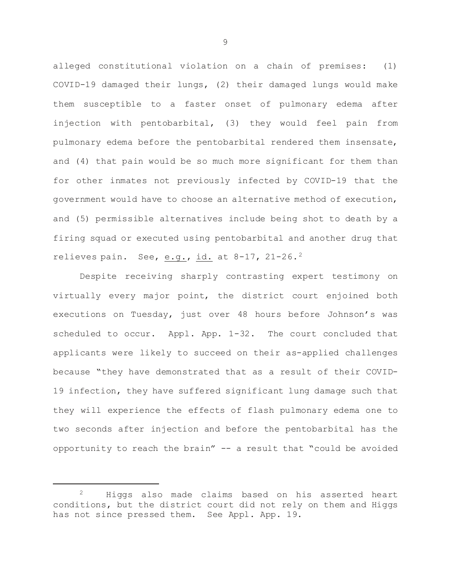alleged constitutional violation on a chain of premises: (1) COVID-19 damaged their lungs, (2) their damaged lungs would make them susceptible to a faster onset of pulmonary edema after injection with pentobarbital, (3) they would feel pain from pulmonary edema before the pentobarbital rendered them insensate, and (4) that pain would be so much more significant for them than for other inmates not previously infected by COVID-19 that the government would have to choose an alternative method of execution, and (5) permissible alternatives include being shot to death by a firing squad or executed using pentobarbital and another drug that relieves pain. See, e.g., id. at 8-17, 21-26.[2](#page-9-0)

Despite receiving sharply contrasting expert testimony on virtually every major point, the district court enjoined both executions on Tuesday, just over 48 hours before Johnson's was scheduled to occur. Appl. App. 1-32. The court concluded that applicants were likely to succeed on their as-applied challenges because "they have demonstrated that as a result of their COVID-19 infection, they have suffered significant lung damage such that they will experience the effects of flash pulmonary edema one to two seconds after injection and before the pentobarbital has the opportunity to reach the brain" -- a result that "could be avoided

ī

<span id="page-9-0"></span><sup>2</sup> Higgs also made claims based on his asserted heart conditions, but the district court did not rely on them and Higgs has not since pressed them. See Appl. App. 19.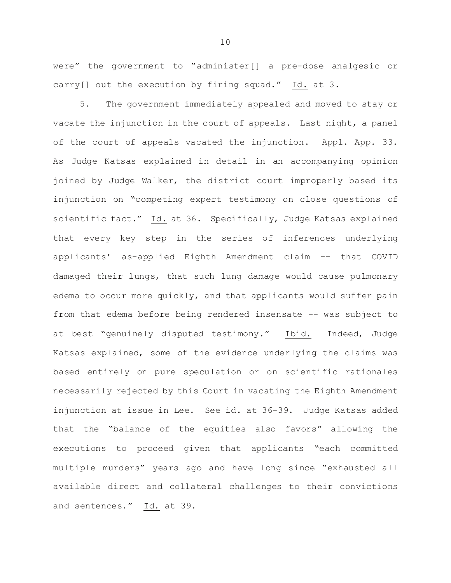were" the government to "administer[] a pre-dose analgesic or carry[] out the execution by firing squad." Id. at 3.

5. The government immediately appealed and moved to stay or vacate the injunction in the court of appeals. Last night, a panel of the court of appeals vacated the injunction. Appl. App. 33. As Judge Katsas explained in detail in an accompanying opinion joined by Judge Walker, the district court improperly based its injunction on "competing expert testimony on close questions of scientific fact." Id. at 36. Specifically, Judge Katsas explained that every key step in the series of inferences underlying applicants' as-applied Eighth Amendment claim -- that COVID damaged their lungs, that such lung damage would cause pulmonary edema to occur more quickly, and that applicants would suffer pain from that edema before being rendered insensate -- was subject to at best "genuinely disputed testimony." Ibid. Indeed, Judge Katsas explained, some of the evidence underlying the claims was based entirely on pure speculation or on scientific rationales necessarily rejected by this Court in vacating the Eighth Amendment injunction at issue in Lee. See id. at 36-39. Judge Katsas added that the "balance of the equities also favors" allowing the executions to proceed given that applicants "each committed multiple murders" years ago and have long since "exhausted all available direct and collateral challenges to their convictions and sentences." Id. at 39.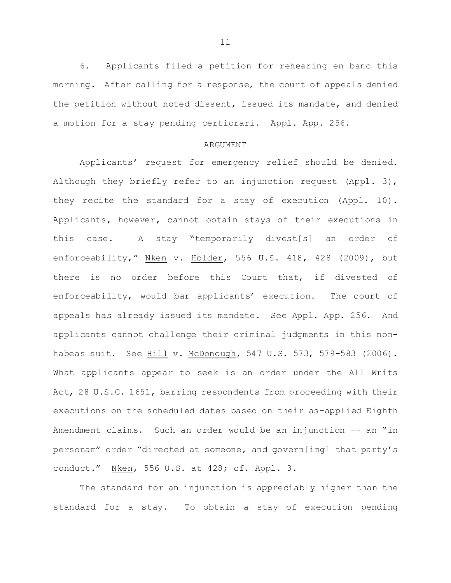6. Applicants filed a petition for rehearing en banc this morning. After calling for a response, the court of appeals denied the petition without noted dissent, issued its mandate, and denied a motion for a stay pending certiorari. Appl. App. 256.

#### ARGUMENT

Applicants' request for emergency relief should be denied. Although they briefly refer to an injunction request (Appl. 3), they recite the standard for a stay of execution (Appl. 10). Applicants, however, cannot obtain stays of their executions in this case. A stay "temporarily divest[s] an order of enforceability," Nken v. Holder, 556 U.S. 418, 428 (2009), but there is no order before this Court that, if divested of enforceability, would bar applicants' execution. The court of appeals has already issued its mandate. See Appl. App. 256. And applicants cannot challenge their criminal judgments in this nonhabeas suit. See Hill v. McDonough, 547 U.S. 573, 579-583 (2006). What applicants appear to seek is an order under the All Writs Act, 28 U.S.C. 1651, barring respondents from proceeding with their executions on the scheduled dates based on their as-applied Eighth Amendment claims. Such an order would be an injunction -- an "in personam" order "directed at someone, and govern[ing] that party's conduct." Nken, 556 U.S. at 428; cf. Appl. 3.

The standard for an injunction is appreciably higher than the standard for a stay. To obtain a stay of execution pending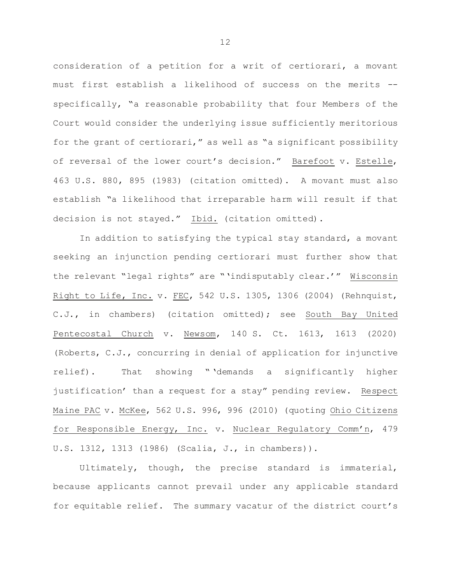consideration of a petition for a writ of certiorari, a movant must first establish a likelihood of success on the merits - specifically, "a reasonable probability that four Members of the Court would consider the underlying issue sufficiently meritorious for the grant of certiorari," as well as "a significant possibility of reversal of the lower court's decision." Barefoot v. Estelle, 463 U.S. 880, 895 (1983) (citation omitted). A movant must also establish "a likelihood that irreparable harm will result if that decision is not stayed." Ibid. (citation omitted).

In addition to satisfying the typical stay standard, a movant seeking an injunction pending certiorari must further show that the relevant "legal rights" are "'indisputably clear.'" Wisconsin Right to Life, Inc. v. FEC, 542 U.S. 1305, 1306 (2004) (Rehnquist, C.J., in chambers) (citation omitted); see South Bay United Pentecostal Church v. Newsom, 140 S. Ct. 1613, 1613 (2020) (Roberts, C.J., concurring in denial of application for injunctive relief). That showing " 'demands a significantly higher justification' than a request for a stay" pending review. Respect Maine PAC v. McKee, 562 U.S. 996, 996 (2010) (quoting Ohio Citizens for Responsible Energy, Inc. v. Nuclear Regulatory Comm'n, 479 U.S. 1312, 1313 (1986) (Scalia, J., in chambers)).

Ultimately, though, the precise standard is immaterial, because applicants cannot prevail under any applicable standard for equitable relief. The summary vacatur of the district court's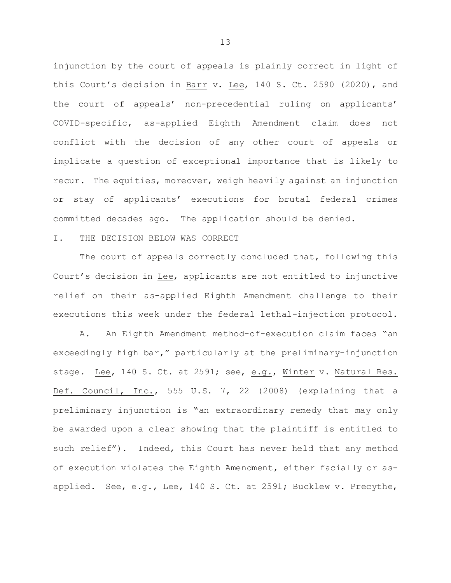injunction by the court of appeals is plainly correct in light of this Court's decision in Barr v. Lee, 140 S. Ct. 2590 (2020), and the court of appeals' non-precedential ruling on applicants' COVID-specific, as-applied Eighth Amendment claim does not conflict with the decision of any other court of appeals or implicate a question of exceptional importance that is likely to recur. The equities, moreover, weigh heavily against an injunction or stay of applicants' executions for brutal federal crimes committed decades ago. The application should be denied.

## I. THE DECISION BELOW WAS CORRECT

The court of appeals correctly concluded that, following this Court's decision in Lee, applicants are not entitled to injunctive relief on their as-applied Eighth Amendment challenge to their executions this week under the federal lethal-injection protocol.

A. An Eighth Amendment method-of-execution claim faces "an exceedingly high bar," particularly at the preliminary-injunction stage. Lee, 140 S. Ct. at 2591; see, e.g., Winter v. Natural Res. Def. Council, Inc., 555 U.S. 7, 22 (2008) (explaining that a preliminary injunction is "an extraordinary remedy that may only be awarded upon a clear showing that the plaintiff is entitled to such relief"). Indeed, this Court has never held that any method of execution violates the Eighth Amendment, either facially or asapplied. See, e.g., Lee, 140 S. Ct. at 2591; Bucklew v. Precythe,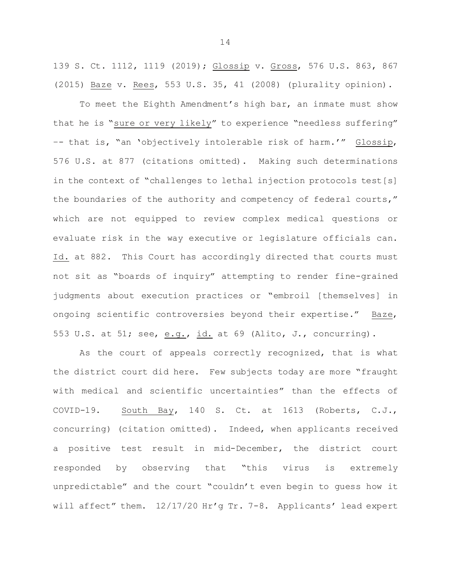139 S. Ct. 1112, 1119 (2019); Glossip v. Gross, 576 U.S. 863, 867 (2015) Baze v. Rees, 553 U.S. 35, 41 (2008) (plurality opinion).

To meet the Eighth Amendment's high bar, an inmate must show that he is "sure or very likely" to experience "needless suffering" –- that is, "an 'objectively intolerable risk of harm.'" Glossip, 576 U.S. at 877 (citations omitted). Making such determinations in the context of "challenges to lethal injection protocols test[s] the boundaries of the authority and competency of federal courts," which are not equipped to review complex medical questions or evaluate risk in the way executive or legislature officials can. Id. at 882. This Court has accordingly directed that courts must not sit as "boards of inquiry" attempting to render fine-grained judgments about execution practices or "embroil [themselves] in ongoing scientific controversies beyond their expertise." Baze, 553 U.S. at 51; see,  $\underline{e.g.}$ ,  $\underline{id.}$  at 69 (Alito, J., concurring).

As the court of appeals correctly recognized, that is what the district court did here. Few subjects today are more "fraught with medical and scientific uncertainties" than the effects of COVID-19. South Bay, 140 S. Ct. at 1613 (Roberts, C.J., concurring) (citation omitted). Indeed, when applicants received a positive test result in mid-December, the district court responded by observing that "this virus is extremely unpredictable" and the court "couldn't even begin to guess how it will affect" them. 12/17/20 Hr'g Tr. 7-8. Applicants' lead expert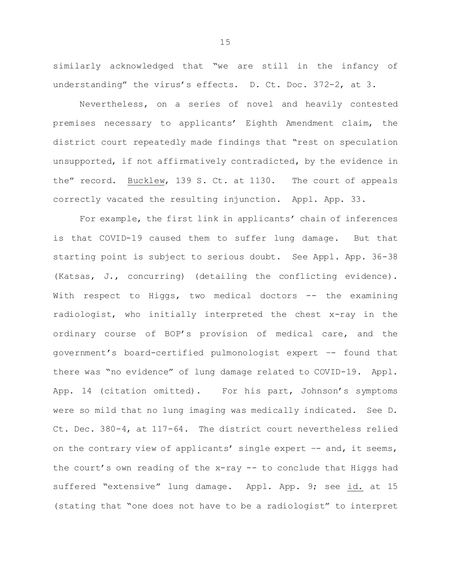similarly acknowledged that "we are still in the infancy of understanding" the virus's effects. D. Ct. Doc. 372-2, at 3.

Nevertheless, on a series of novel and heavily contested premises necessary to applicants' Eighth Amendment claim, the district court repeatedly made findings that "rest on speculation unsupported, if not affirmatively contradicted, by the evidence in the" record. Bucklew, 139 S. Ct. at 1130. The court of appeals correctly vacated the resulting injunction. Appl. App. 33.

For example, the first link in applicants' chain of inferences is that COVID-19 caused them to suffer lung damage. But that starting point is subject to serious doubt. See Appl. App. 36-38 (Katsas, J., concurring) (detailing the conflicting evidence). With respect to Higgs, two medical doctors -- the examining radiologist, who initially interpreted the chest x-ray in the ordinary course of BOP's provision of medical care, and the government's board-certified pulmonologist expert –- found that there was "no evidence" of lung damage related to COVID-19. Appl. App. 14 (citation omitted). For his part, Johnson's symptoms were so mild that no lung imaging was medically indicated. See D. Ct. Dec. 380-4, at 117-64. The district court nevertheless relied on the contrary view of applicants' single expert -- and, it seems, the court's own reading of the x-ray -- to conclude that Higgs had suffered "extensive" lung damage. Appl. App. 9; see id. at 15 (stating that "one does not have to be a radiologist" to interpret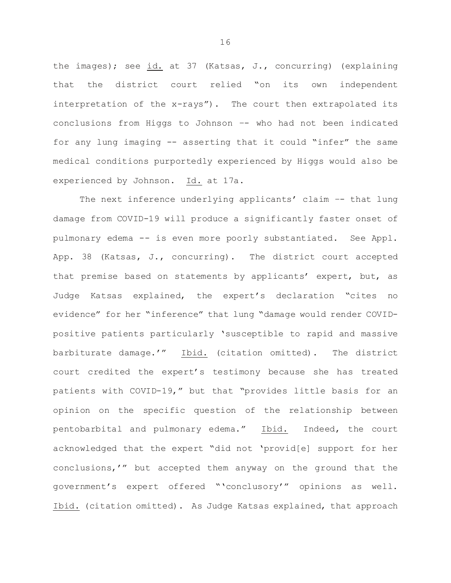the images); see id. at 37 (Katsas, J., concurring) (explaining that the district court relied "on its own independent interpretation of the x-rays"). The court then extrapolated its conclusions from Higgs to Johnson –- who had not been indicated for any lung imaging -- asserting that it could "infer" the same medical conditions purportedly experienced by Higgs would also be experienced by Johnson. Id. at 17a.

The next inference underlying applicants' claim -- that lung damage from COVID-19 will produce a significantly faster onset of pulmonary edema -- is even more poorly substantiated. See Appl. App. 38 (Katsas, J., concurring). The district court accepted that premise based on statements by applicants' expert, but, as Judge Katsas explained, the expert's declaration "cites no evidence" for her "inference" that lung "damage would render COVIDpositive patients particularly 'susceptible to rapid and massive barbiturate damage.'" Ibid. (citation omitted). The district court credited the expert's testimony because she has treated patients with COVID-19," but that "provides little basis for an opinion on the specific question of the relationship between pentobarbital and pulmonary edema." Ibid. Indeed, the court acknowledged that the expert "did not 'provid[e] support for her conclusions,'" but accepted them anyway on the ground that the government's expert offered "'conclusory'" opinions as well. Ibid. (citation omitted). As Judge Katsas explained, that approach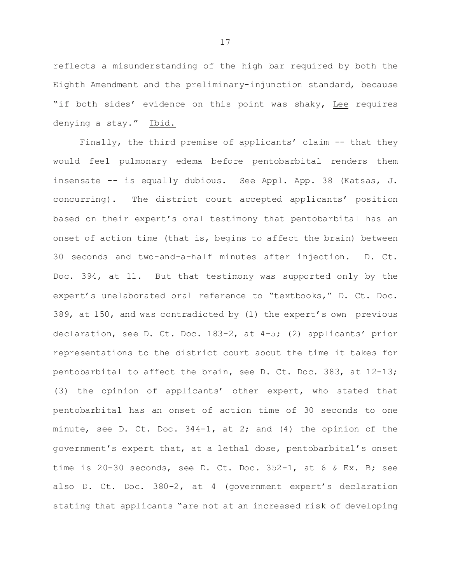reflects a misunderstanding of the high bar required by both the Eighth Amendment and the preliminary-injunction standard, because "if both sides' evidence on this point was shaky, Lee requires denying a stay." Ibid.

Finally, the third premise of applicants' claim -- that they would feel pulmonary edema before pentobarbital renders them insensate -- is equally dubious. See Appl. App. 38 (Katsas, J. concurring). The district court accepted applicants' position based on their expert's oral testimony that pentobarbital has an onset of action time (that is, begins to affect the brain) between 30 seconds and two-and-a-half minutes after injection. D. Ct. Doc. 394, at 11. But that testimony was supported only by the expert's unelaborated oral reference to "textbooks," D. Ct. Doc. 389, at 150, and was contradicted by (1) the expert's own previous declaration, see D. Ct. Doc. 183-2, at 4-5; (2) applicants' prior representations to the district court about the time it takes for pentobarbital to affect the brain, see D. Ct. Doc. 383, at 12-13; (3) the opinion of applicants' other expert, who stated that pentobarbital has an onset of action time of 30 seconds to one minute, see D. Ct. Doc. 344-1, at 2; and (4) the opinion of the government's expert that, at a lethal dose, pentobarbital's onset time is 20-30 seconds, see D. Ct. Doc. 352-1, at 6 & Ex. B; see also D. Ct. Doc. 380-2, at 4 (government expert's declaration stating that applicants "are not at an increased risk of developing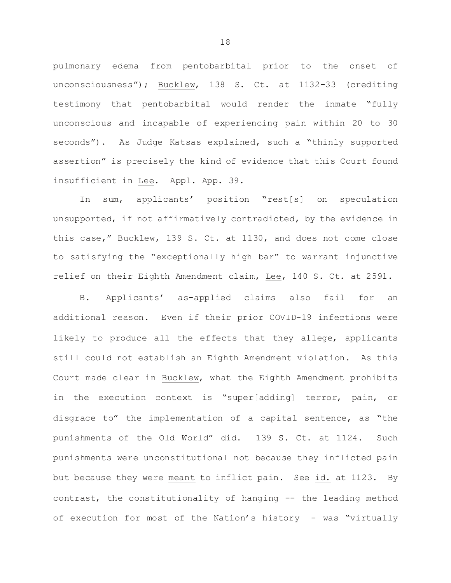pulmonary edema from pentobarbital prior to the onset of unconsciousness"); Bucklew, 138 S. Ct. at 1132-33 (crediting testimony that pentobarbital would render the inmate "fully unconscious and incapable of experiencing pain within 20 to 30 seconds"). As Judge Katsas explained, such a "thinly supported assertion" is precisely the kind of evidence that this Court found insufficient in Lee. Appl. App. 39.

In sum, applicants' position "rest[s] on speculation unsupported, if not affirmatively contradicted, by the evidence in this case," Bucklew, 139 S. Ct. at 1130, and does not come close to satisfying the "exceptionally high bar" to warrant injunctive relief on their Eighth Amendment claim, Lee, 140 S. Ct. at 2591.

B. Applicants' as-applied claims also fail for an additional reason. Even if their prior COVID-19 infections were likely to produce all the effects that they allege, applicants still could not establish an Eighth Amendment violation. As this Court made clear in Bucklew, what the Eighth Amendment prohibits in the execution context is "super[adding] terror, pain, or disgrace to" the implementation of a capital sentence, as "the punishments of the Old World" did. 139 S. Ct. at 1124. Such punishments were unconstitutional not because they inflicted pain but because they were meant to inflict pain. See id. at 1123. By contrast, the constitutionality of hanging -- the leading method of execution for most of the Nation's history –- was "virtually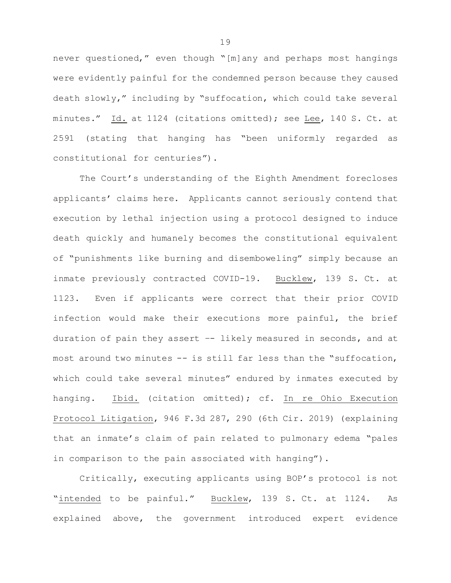never questioned," even though "[m]any and perhaps most hangings were evidently painful for the condemned person because they caused death slowly," including by "suffocation, which could take several minutes." Id. at 1124 (citations omitted); see Lee, 140 S. Ct. at 2591 (stating that hanging has "been uniformly regarded as constitutional for centuries").

The Court's understanding of the Eighth Amendment forecloses applicants' claims here. Applicants cannot seriously contend that execution by lethal injection using a protocol designed to induce death quickly and humanely becomes the constitutional equivalent of "punishments like burning and disemboweling" simply because an inmate previously contracted COVID-19. Bucklew, 139 S. Ct. at 1123. Even if applicants were correct that their prior COVID infection would make their executions more painful, the brief duration of pain they assert –- likely measured in seconds, and at most around two minutes -- is still far less than the "suffocation, which could take several minutes" endured by inmates executed by hanging. Ibid. (citation omitted); cf. In re Ohio Execution Protocol Litigation, 946 F.3d 287, 290 (6th Cir. 2019) (explaining that an inmate's claim of pain related to pulmonary edema "pales in comparison to the pain associated with hanging").

Critically, executing applicants using BOP's protocol is not "intended to be painful." Bucklew, 139 S. Ct. at 1124. As explained above, the government introduced expert evidence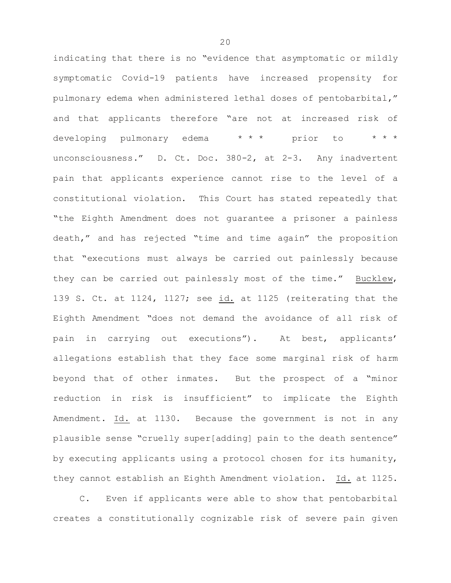indicating that there is no "evidence that asymptomatic or mildly symptomatic Covid-19 patients have increased propensity for pulmonary edema when administered lethal doses of pentobarbital," and that applicants therefore "are not at increased risk of developing pulmonary edema \*\*\* prior to unconsciousness." D. Ct. Doc. 380-2, at 2-3. Any inadvertent pain that applicants experience cannot rise to the level of a constitutional violation. This Court has stated repeatedly that "the Eighth Amendment does not guarantee a prisoner a painless death," and has rejected "time and time again" the proposition that "executions must always be carried out painlessly because they can be carried out painlessly most of the time." Bucklew, 139 S. Ct. at 1124, 1127; see id. at 1125 (reiterating that the Eighth Amendment "does not demand the avoidance of all risk of pain in carrying out executions"). At best, applicants' allegations establish that they face some marginal risk of harm beyond that of other inmates. But the prospect of a "minor reduction in risk is insufficient" to implicate the Eighth Amendment. Id. at 1130. Because the government is not in any plausible sense "cruelly super[adding] pain to the death sentence" by executing applicants using a protocol chosen for its humanity, they cannot establish an Eighth Amendment violation. Id. at 1125.

C. Even if applicants were able to show that pentobarbital creates a constitutionally cognizable risk of severe pain given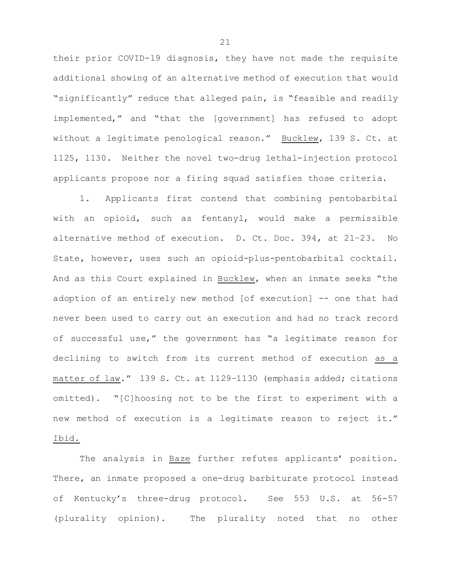their prior COVID-19 diagnosis, they have not made the requisite additional showing of an alternative method of execution that would "significantly" reduce that alleged pain, is "feasible and readily implemented," and "that the [government] has refused to adopt without a legitimate penological reason." Bucklew, 139 S. Ct. at 1125, 1130. Neither the novel two-drug lethal-injection protocol applicants propose nor a firing squad satisfies those criteria.

1. Applicants first contend that combining pentobarbital with an opioid, such as fentanyl, would make a permissible alternative method of execution. D. Ct. Doc. 394, at 21–23. No State, however, uses such an opioid-plus-pentobarbital cocktail. And as this Court explained in Bucklew, when an inmate seeks "the adoption of an entirely new method [of execution] -- one that had never been used to carry out an execution and had no track record of successful use," the government has "a legitimate reason for declining to switch from its current method of execution as a matter of law." 139 S. Ct. at 1129–1130 (emphasis added; citations omitted). "[C]hoosing not to be the first to experiment with a new method of execution is a legitimate reason to reject it." Ibid.

The analysis in Baze further refutes applicants' position. There, an inmate proposed a one-drug barbiturate protocol instead of Kentucky's three-drug protocol. See 553 U.S. at 56-57 (plurality opinion). The plurality noted that no other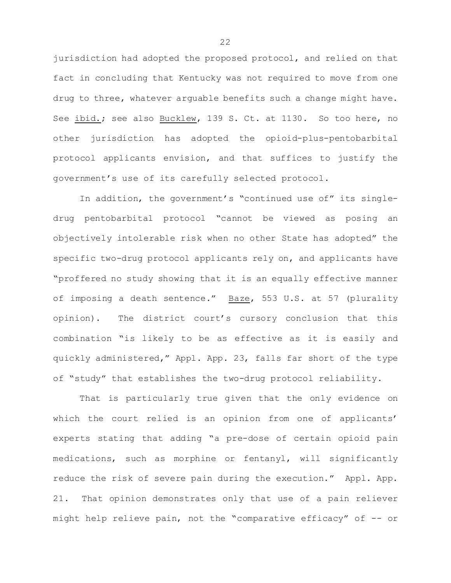jurisdiction had adopted the proposed protocol, and relied on that fact in concluding that Kentucky was not required to move from one drug to three, whatever arguable benefits such a change might have. See ibid.; see also Bucklew, 139 S. Ct. at 1130. So too here, no other jurisdiction has adopted the opioid-plus-pentobarbital protocol applicants envision, and that suffices to justify the government's use of its carefully selected protocol.

In addition, the government's "continued use of" its singledrug pentobarbital protocol "cannot be viewed as posing an objectively intolerable risk when no other State has adopted" the specific two-drug protocol applicants rely on, and applicants have "proffered no study showing that it is an equally effective manner of imposing a death sentence." Baze, 553 U.S. at 57 (plurality opinion). The district court's cursory conclusion that this combination "is likely to be as effective as it is easily and quickly administered," Appl. App. 23, falls far short of the type of "study" that establishes the two-drug protocol reliability.

That is particularly true given that the only evidence on which the court relied is an opinion from one of applicants' experts stating that adding "a pre-dose of certain opioid pain medications, such as morphine or fentanyl, will significantly reduce the risk of severe pain during the execution." Appl. App. 21. That opinion demonstrates only that use of a pain reliever might help relieve pain, not the "comparative efficacy" of -- or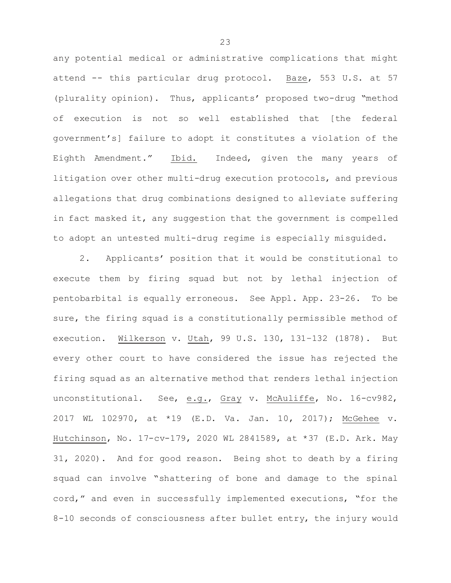any potential medical or administrative complications that might attend -- this particular drug protocol. Baze, 553 U.S. at 57 (plurality opinion). Thus, applicants' proposed two-drug "method of execution is not so well established that [the federal government's] failure to adopt it constitutes a violation of the Eighth Amendment." Ibid. Indeed, given the many years of litigation over other multi-drug execution protocols, and previous allegations that drug combinations designed to alleviate suffering in fact masked it, any suggestion that the government is compelled to adopt an untested multi-drug regime is especially misguided.

2. Applicants' position that it would be constitutional to execute them by firing squad but not by lethal injection of pentobarbital is equally erroneous. See Appl. App. 23-26. To be sure, the firing squad is a constitutionally permissible method of execution. Wilkerson v. Utah, 99 U.S. 130, 131–132 (1878). But every other court to have considered the issue has rejected the firing squad as an alternative method that renders lethal injection unconstitutional. See, e.g., Gray v. McAuliffe, No. 16-cv982, 2017 WL 102970, at \*19 (E.D. Va. Jan. 10, 2017); McGehee v. Hutchinson, No. 17-cv-179, 2020 WL 2841589, at \*37 (E.D. Ark. May 31, 2020). And for good reason. Being shot to death by a firing squad can involve "shattering of bone and damage to the spinal cord," and even in successfully implemented executions, "for the 8-10 seconds of consciousness after bullet entry, the injury would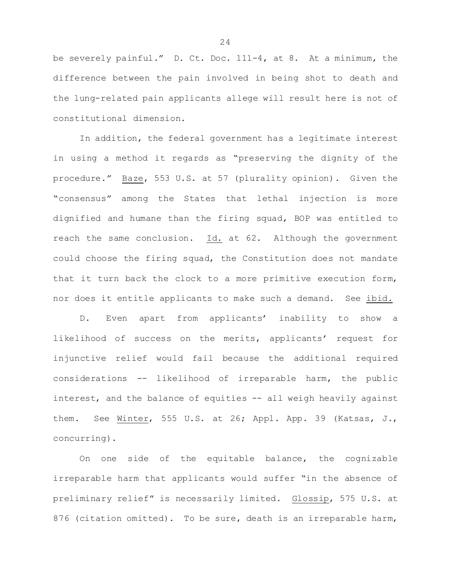be severely painful." D. Ct. Doc. 111-4, at 8. At a minimum, the difference between the pain involved in being shot to death and the lung-related pain applicants allege will result here is not of constitutional dimension.

In addition, the federal government has a legitimate interest in using a method it regards as "preserving the dignity of the procedure." Baze, 553 U.S. at 57 (plurality opinion). Given the "consensus" among the States that lethal injection is more dignified and humane than the firing squad, BOP was entitled to reach the same conclusion. Id. at 62. Although the government could choose the firing squad, the Constitution does not mandate that it turn back the clock to a more primitive execution form, nor does it entitle applicants to make such a demand. See ibid.

D. Even apart from applicants' inability to show a likelihood of success on the merits, applicants' request for injunctive relief would fail because the additional required considerations -- likelihood of irreparable harm, the public interest, and the balance of equities -- all weigh heavily against them. See Winter, 555 U.S. at 26; Appl. App. 39 (Katsas, J., concurring).

On one side of the equitable balance, the cognizable irreparable harm that applicants would suffer "in the absence of preliminary relief" is necessarily limited. Glossip, 575 U.S. at 876 (citation omitted). To be sure, death is an irreparable harm,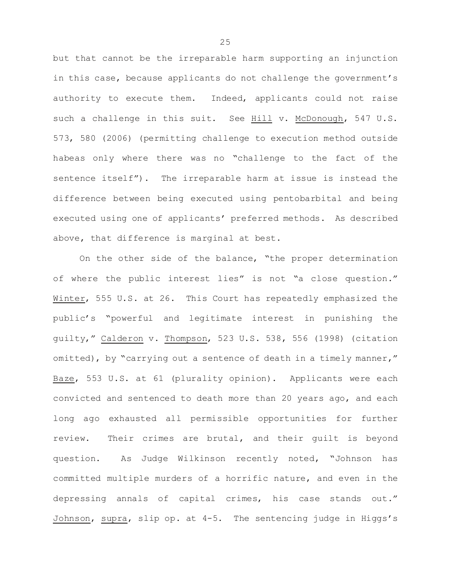but that cannot be the irreparable harm supporting an injunction in this case, because applicants do not challenge the government's authority to execute them. Indeed, applicants could not raise such a challenge in this suit. See Hill v. McDonough, 547 U.S. 573, 580 (2006) (permitting challenge to execution method outside habeas only where there was no "challenge to the fact of the sentence itself"). The irreparable harm at issue is instead the difference between being executed using pentobarbital and being executed using one of applicants' preferred methods. As described above, that difference is marginal at best.

On the other side of the balance, "the proper determination of where the public interest lies" is not "a close question." Winter, 555 U.S. at 26. This Court has repeatedly emphasized the public's "powerful and legitimate interest in punishing the guilty," Calderon v. Thompson, 523 U.S. 538, 556 (1998) (citation omitted), by "carrying out a sentence of death in a timely manner," Baze, 553 U.S. at 61 (plurality opinion). Applicants were each convicted and sentenced to death more than 20 years ago, and each long ago exhausted all permissible opportunities for further review. Their crimes are brutal, and their guilt is beyond question. As Judge Wilkinson recently noted, "Johnson has committed multiple murders of a horrific nature, and even in the depressing annals of capital crimes, his case stands out." Johnson, supra, slip op. at 4-5. The sentencing judge in Higgs's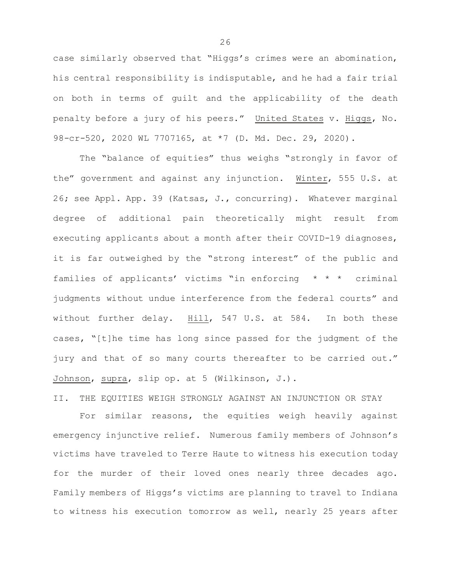case similarly observed that "Higgs's crimes were an abomination, his central responsibility is indisputable, and he had a fair trial on both in terms of guilt and the applicability of the death penalty before a jury of his peers." United States v. Higgs, No. 98-cr-520, 2020 WL 7707165, at \*7 (D. Md. Dec. 29, 2020).

The "balance of equities" thus weighs "strongly in favor of the" government and against any injunction. Winter, 555 U.S. at 26; see Appl. App. 39 (Katsas, J., concurring). Whatever marginal degree of additional pain theoretically might result from executing applicants about a month after their COVID-19 diagnoses, it is far outweighed by the "strong interest" of the public and families of applicants' victims "in enforcing \* \* \* criminal judgments without undue interference from the federal courts" and without further delay. Hill, 547 U.S. at 584. In both these cases, "[t]he time has long since passed for the judgment of the jury and that of so many courts thereafter to be carried out." Johnson, supra, slip op. at 5 (Wilkinson, J.).

II. THE EQUITIES WEIGH STRONGLY AGAINST AN INJUNCTION OR STAY

For similar reasons, the equities weigh heavily against emergency injunctive relief. Numerous family members of Johnson's victims have traveled to Terre Haute to witness his execution today for the murder of their loved ones nearly three decades ago. Family members of Higgs's victims are planning to travel to Indiana to witness his execution tomorrow as well, nearly 25 years after